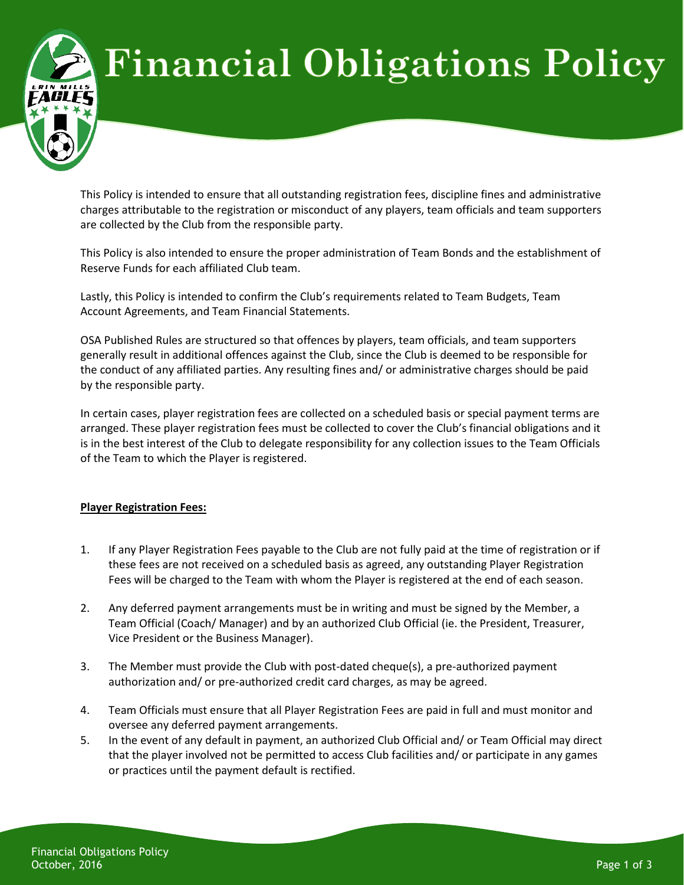# **Financial Obligations Policy**

This Policy is intended to ensure that all outstanding registration fees, discipline fines and administrative charges attributable to the registration or misconduct of any players, team officials and team supporters are collected by the Club from the responsible party.

This Policy is also intended to ensure the proper administration of Team Bonds and the establishment of Reserve Funds for each affiliated Club team.

Lastly, this Policy is intended to confirm the Club's requirements related to Team Budgets, Team Account Agreements, and Team Financial Statements.

OSA Published Rules are structured so that offences by players, team officials, and team supporters generally result in additional offences against the Club, since the Club is deemed to be responsible for the conduct of any affiliated parties. Any resulting fines and/ or administrative charges should be paid by the responsible party.

In certain cases, player registration fees are collected on a scheduled basis or special payment terms are arranged. These player registration fees must be collected to cover the Club's financial obligations and it is in the best interest of the Club to delegate responsibility for any collection issues to the Team Officials of the Team to which the Player is registered.

## **Player Registration Fees:**

- 1. If any Player Registration Fees payable to the Club are not fully paid at the time of registration or if these fees are not received on a scheduled basis as agreed, any outstanding Player Registration Fees will be charged to the Team with whom the Player is registered at the end of each season.
- 2. Any deferred payment arrangements must be in writing and must be signed by the Member, a Team Official (Coach/ Manager) and by an authorized Club Official (ie. the President, Treasurer, Vice President or the Business Manager).
- 3. The Member must provide the Club with post-dated cheque(s), a pre-authorized payment authorization and/ or pre-authorized credit card charges, as may be agreed.
- 4. Team Officials must ensure that all Player Registration Fees are paid in full and must monitor and oversee any deferred payment arrangements.
- 5. In the event of any default in payment, an authorized Club Official and/ or Team Official may direct that the player involved not be permitted to access Club facilities and/ or participate in any games or practices until the payment default is rectified.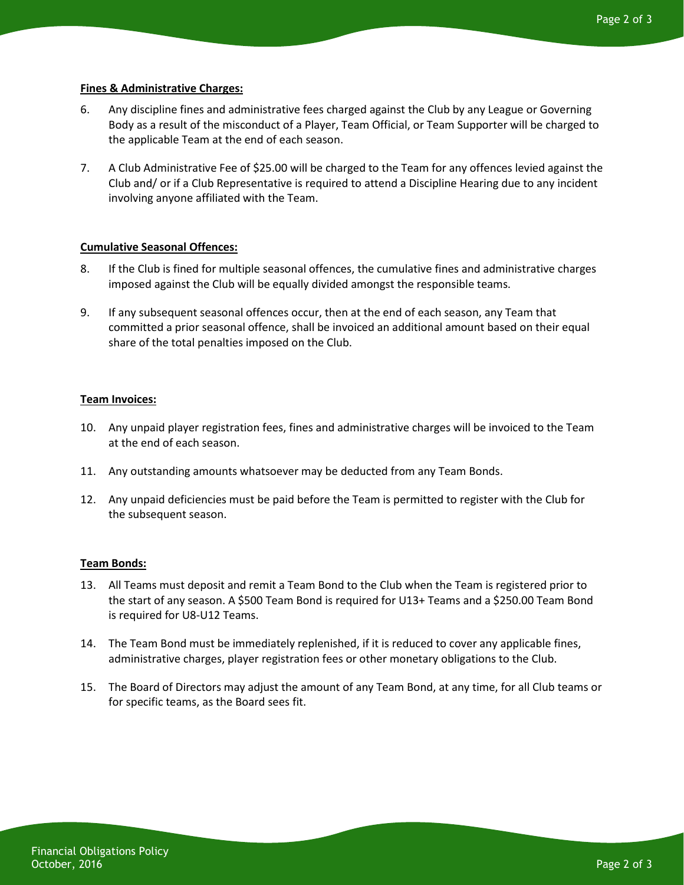## **Fines & Administrative Charges:**

- 6. Any discipline fines and administrative fees charged against the Club by any League or Governing Body as a result of the misconduct of a Player, Team Official, or Team Supporter will be charged to the applicable Team at the end of each season.
- 7. A Club Administrative Fee of \$25.00 will be charged to the Team for any offences levied against the Club and/ or if a Club Representative is required to attend a Discipline Hearing due to any incident involving anyone affiliated with the Team.

## **Cumulative Seasonal Offences:**

- 8. If the Club is fined for multiple seasonal offences, the cumulative fines and administrative charges imposed against the Club will be equally divided amongst the responsible teams.
- 9. If any subsequent seasonal offences occur, then at the end of each season, any Team that committed a prior seasonal offence, shall be invoiced an additional amount based on their equal share of the total penalties imposed on the Club.

## **Team Invoices:**

- 10. Any unpaid player registration fees, fines and administrative charges will be invoiced to the Team at the end of each season.
- 11. Any outstanding amounts whatsoever may be deducted from any Team Bonds.
- 12. Any unpaid deficiencies must be paid before the Team is permitted to register with the Club for the subsequent season.

#### **Team Bonds:**

- 13. All Teams must deposit and remit a Team Bond to the Club when the Team is registered prior to the start of any season. A \$500 Team Bond is required for U13+ Teams and a \$250.00 Team Bond is required for U8-U12 Teams.
- 14. The Team Bond must be immediately replenished, if it is reduced to cover any applicable fines, administrative charges, player registration fees or other monetary obligations to the Club.
- 15. The Board of Directors may adjust the amount of any Team Bond, at any time, for all Club teams or for specific teams, as the Board sees fit.